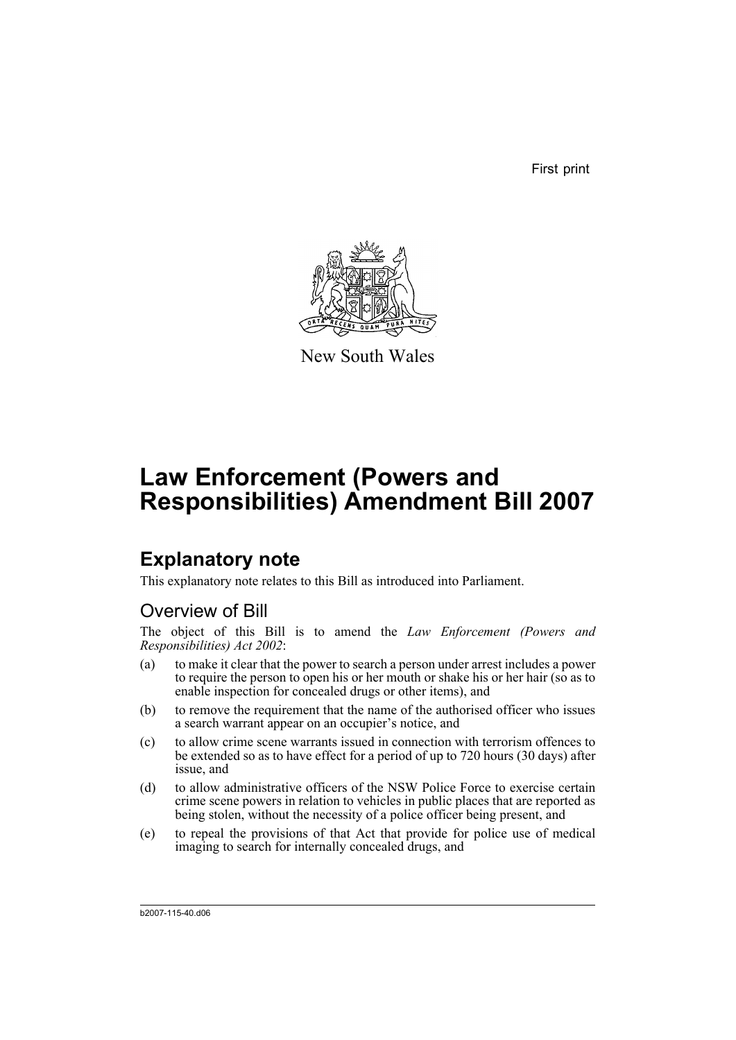First print



New South Wales

# **Law Enforcement (Powers and Responsibilities) Amendment Bill 2007**

## **Explanatory note**

This explanatory note relates to this Bill as introduced into Parliament.

### Overview of Bill

The object of this Bill is to amend the *Law Enforcement (Powers and Responsibilities) Act 2002*:

- (a) to make it clear that the power to search a person under arrest includes a power to require the person to open his or her mouth or shake his or her hair (so as to enable inspection for concealed drugs or other items), and
- (b) to remove the requirement that the name of the authorised officer who issues a search warrant appear on an occupier's notice, and
- (c) to allow crime scene warrants issued in connection with terrorism offences to be extended so as to have effect for a period of up to 720 hours (30 days) after issue, and
- (d) to allow administrative officers of the NSW Police Force to exercise certain crime scene powers in relation to vehicles in public places that are reported as being stolen, without the necessity of a police officer being present, and
- (e) to repeal the provisions of that Act that provide for police use of medical imaging to search for internally concealed drugs, and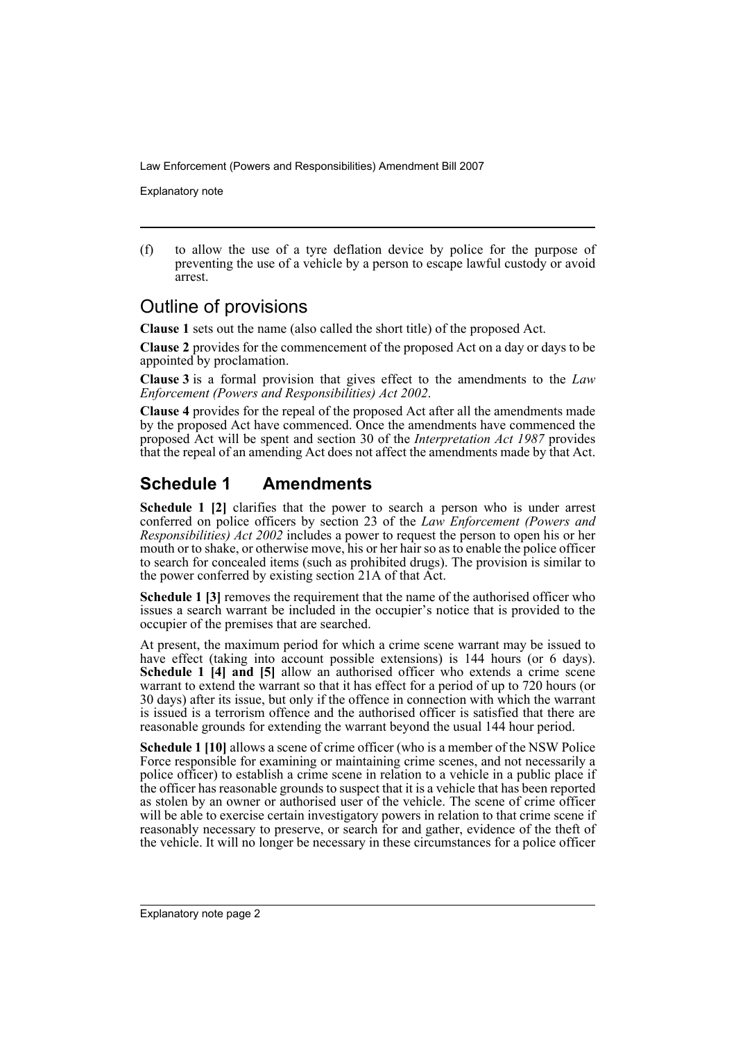Explanatory note

(f) to allow the use of a tyre deflation device by police for the purpose of preventing the use of a vehicle by a person to escape lawful custody or avoid arrest.

#### Outline of provisions

**Clause 1** sets out the name (also called the short title) of the proposed Act.

**Clause 2** provides for the commencement of the proposed Act on a day or days to be appointed by proclamation.

**Clause 3** is a formal provision that gives effect to the amendments to the *Law Enforcement (Powers and Responsibilities) Act 2002*.

**Clause 4** provides for the repeal of the proposed Act after all the amendments made by the proposed Act have commenced. Once the amendments have commenced the proposed Act will be spent and section 30 of the *Interpretation Act 1987* provides that the repeal of an amending Act does not affect the amendments made by that Act.

### **Schedule 1 Amendments**

**Schedule 1 [2]** clarifies that the power to search a person who is under arrest conferred on police officers by section 23 of the *Law Enforcement (Powers and Responsibilities) Act 2002* includes a power to request the person to open his or her mouth or to shake, or otherwise move, his or her hair so as to enable the police officer to search for concealed items (such as prohibited drugs). The provision is similar to the power conferred by existing section 21A of that Act.

**Schedule 1 [3]** removes the requirement that the name of the authorised officer who issues a search warrant be included in the occupier's notice that is provided to the occupier of the premises that are searched.

At present, the maximum period for which a crime scene warrant may be issued to have effect (taking into account possible extensions) is 144 hours (or 6 days). **Schedule 1 [4] and [5]** allow an authorised officer who extends a crime scene warrant to extend the warrant so that it has effect for a period of up to 720 hours (or 30 days) after its issue, but only if the offence in connection with which the warrant is issued is a terrorism offence and the authorised officer is satisfied that there are reasonable grounds for extending the warrant beyond the usual 144 hour period.

**Schedule 1 [10]** allows a scene of crime officer (who is a member of the NSW Police Force responsible for examining or maintaining crime scenes, and not necessarily a police officer) to establish a crime scene in relation to a vehicle in a public place if the officer has reasonable grounds to suspect that it is a vehicle that has been reported as stolen by an owner or authorised user of the vehicle. The scene of crime officer will be able to exercise certain investigatory powers in relation to that crime scene if reasonably necessary to preserve, or search for and gather, evidence of the theft of the vehicle. It will no longer be necessary in these circumstances for a police officer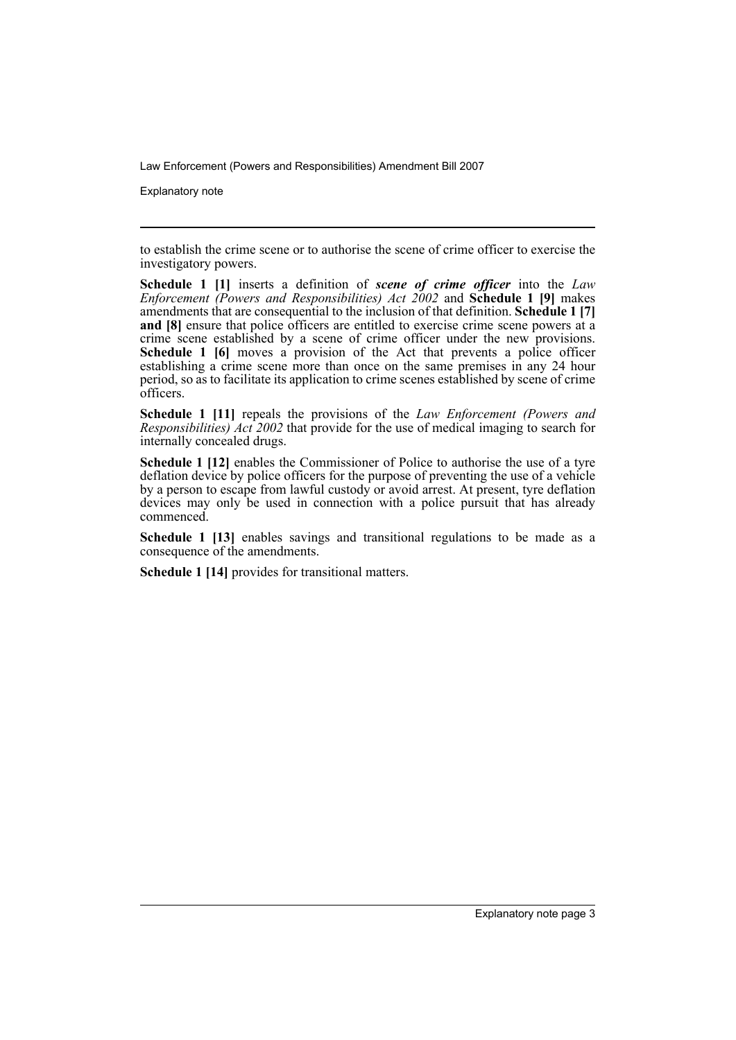Explanatory note

to establish the crime scene or to authorise the scene of crime officer to exercise the investigatory powers.

**Schedule 1 [1]** inserts a definition of *scene of crime officer* into the *Law Enforcement (Powers and Responsibilities) Act 2002* and **Schedule 1 [9]** makes amendments that are consequential to the inclusion of that definition. **Schedule 1 [7] and [8]** ensure that police officers are entitled to exercise crime scene powers at a crime scene established by a scene of crime officer under the new provisions. **Schedule 1 [6]** moves a provision of the Act that prevents a police officer establishing a crime scene more than once on the same premises in any 24 hour period, so as to facilitate its application to crime scenes established by scene of crime officers.

**Schedule 1 [11]** repeals the provisions of the *Law Enforcement (Powers and Responsibilities) Act 2002* that provide for the use of medical imaging to search for internally concealed drugs.

**Schedule 1 [12]** enables the Commissioner of Police to authorise the use of a tyre deflation device by police officers for the purpose of preventing the use of a vehicle by a person to escape from lawful custody or avoid arrest. At present, tyre deflation devices may only be used in connection with a police pursuit that has already commenced.

**Schedule 1 [13]** enables savings and transitional regulations to be made as a consequence of the amendments.

**Schedule 1 [14]** provides for transitional matters.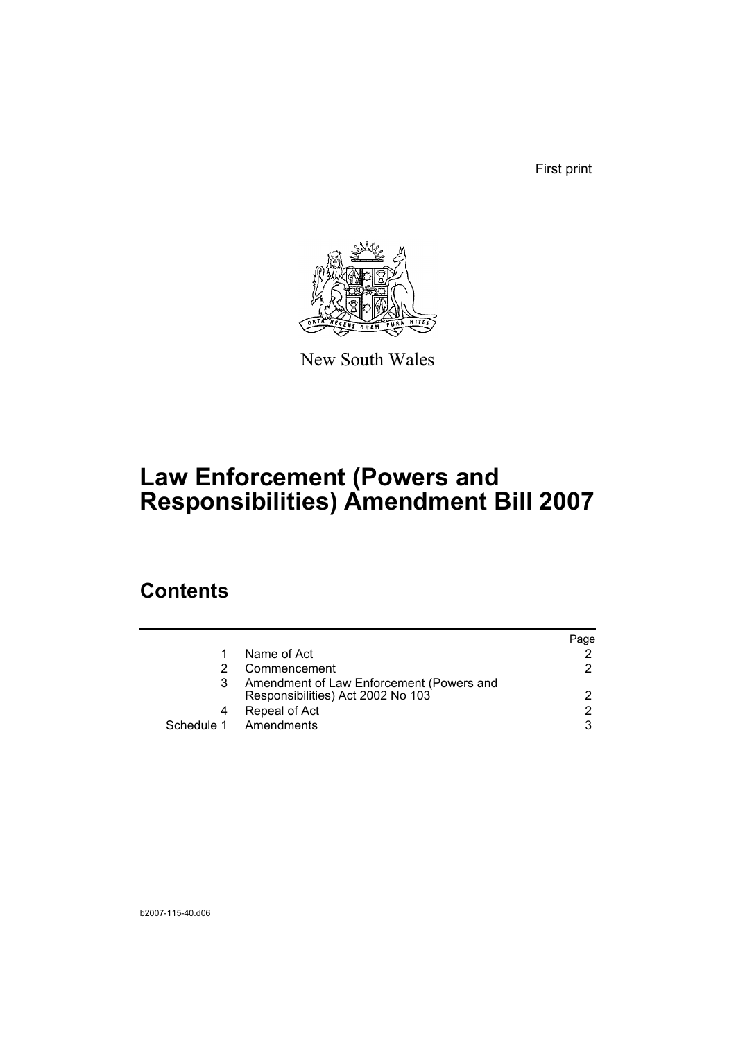First print



New South Wales

# **Law Enforcement (Powers and Responsibilities) Amendment Bill 2007**

## **Contents**

|                                                                               | Page          |
|-------------------------------------------------------------------------------|---------------|
| Name of Act                                                                   |               |
| Commencement                                                                  | 2             |
| Amendment of Law Enforcement (Powers and<br>Responsibilities) Act 2002 No 103 | 2             |
| Repeal of Act                                                                 | $\mathcal{P}$ |
| Schedule 1 Amendments                                                         | 3             |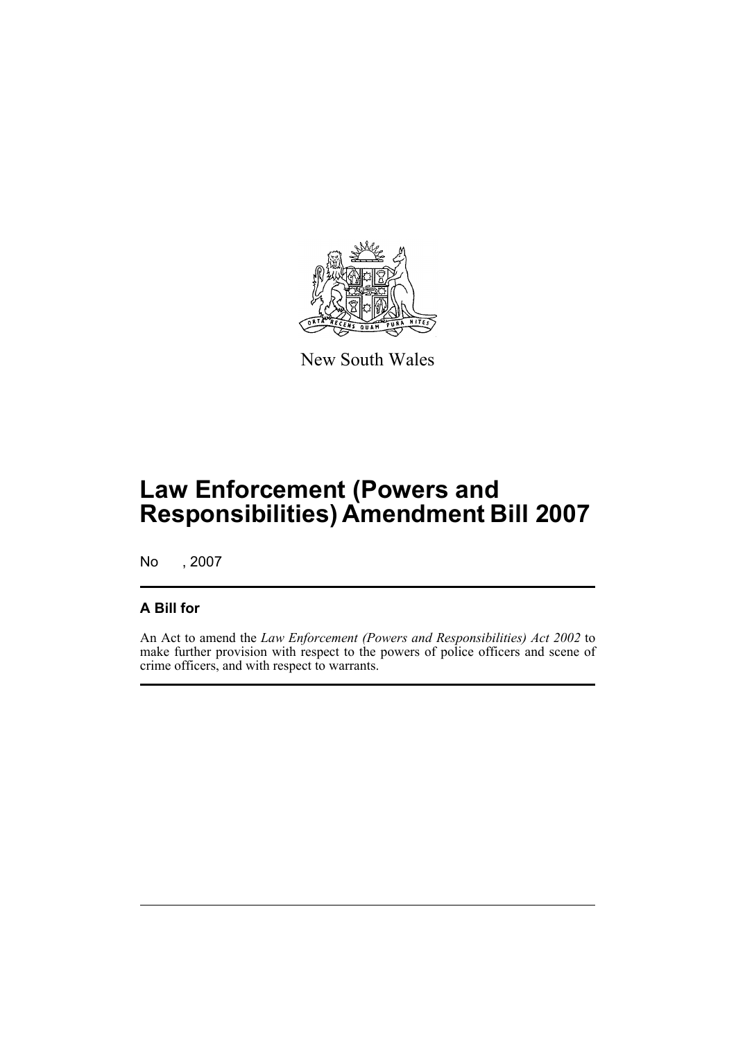

New South Wales

# **Law Enforcement (Powers and Responsibilities) Amendment Bill 2007**

No , 2007

#### **A Bill for**

An Act to amend the *Law Enforcement (Powers and Responsibilities) Act 2002* to make further provision with respect to the powers of police officers and scene of crime officers, and with respect to warrants.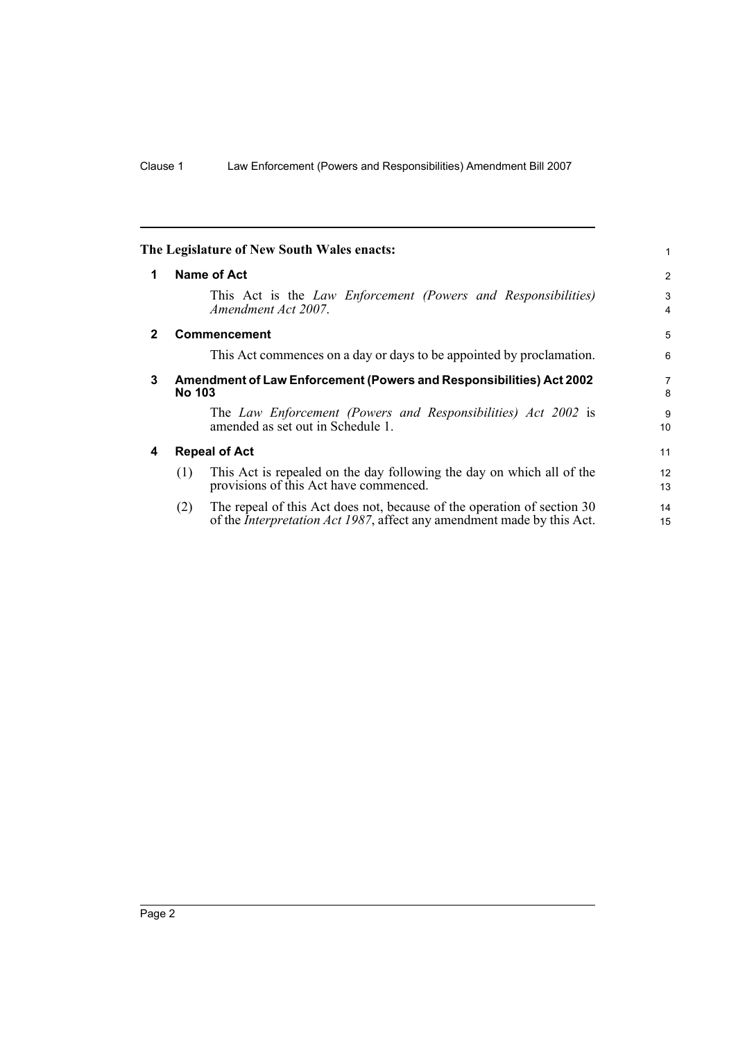<span id="page-7-3"></span><span id="page-7-2"></span><span id="page-7-1"></span><span id="page-7-0"></span>

|              | The Legislature of New South Wales enacts:                                                                                                                       | 1                   |
|--------------|------------------------------------------------------------------------------------------------------------------------------------------------------------------|---------------------|
| 1            | Name of Act                                                                                                                                                      | 2                   |
|              | This Act is the Law Enforcement (Powers and Responsibilities)<br>Amendment Act 2007.                                                                             | 3<br>4              |
| $\mathbf{2}$ | <b>Commencement</b>                                                                                                                                              | 5                   |
|              | This Act commences on a day or days to be appointed by proclamation.                                                                                             | 6                   |
| 3            | Amendment of Law Enforcement (Powers and Responsibilities) Act 2002<br><b>No 103</b>                                                                             | $\overline{7}$<br>8 |
|              | The Law Enforcement (Powers and Responsibilities) Act 2002 is<br>amended as set out in Schedule 1.                                                               | 9<br>10             |
| 4            | <b>Repeal of Act</b>                                                                                                                                             | 11                  |
|              | This Act is repealed on the day following the day on which all of the<br>(1)<br>provisions of this Act have commenced.                                           | 12<br>13            |
|              | The repeal of this Act does not, because of the operation of section 30<br>(2)<br>of the <i>Interpretation Act 1987</i> , affect any amendment made by this Act. | 14<br>15            |
|              |                                                                                                                                                                  |                     |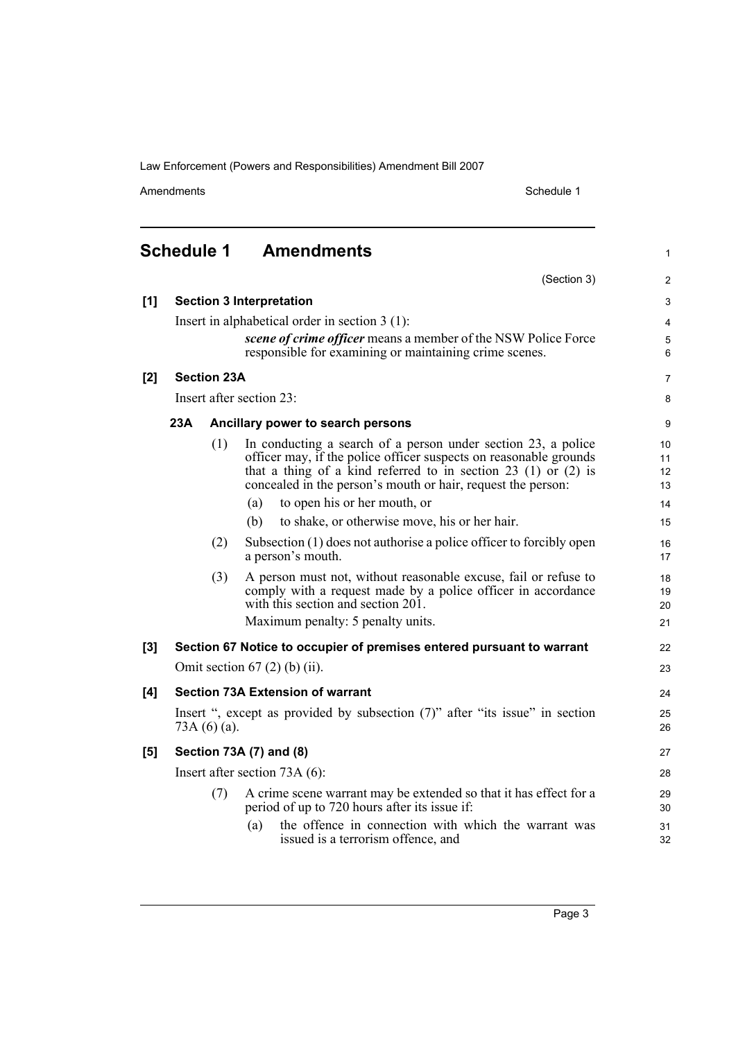Amendments Schedule 1

(Section 3)

1

2

<span id="page-8-0"></span>**Schedule 1 Amendments**

| [1]   |     |                    | <b>Section 3 Interpretation</b>                                                                                                                                                                                                                                        | $\ensuremath{\mathsf{3}}$ |
|-------|-----|--------------------|------------------------------------------------------------------------------------------------------------------------------------------------------------------------------------------------------------------------------------------------------------------------|---------------------------|
|       |     |                    | Insert in alphabetical order in section $3(1)$ :                                                                                                                                                                                                                       | 4                         |
|       |     |                    | scene of crime officer means a member of the NSW Police Force<br>responsible for examining or maintaining crime scenes.                                                                                                                                                | 5<br>6                    |
| [2]   |     | <b>Section 23A</b> |                                                                                                                                                                                                                                                                        | $\overline{7}$            |
|       |     |                    | Insert after section 23:                                                                                                                                                                                                                                               | 8                         |
|       | 23A |                    | Ancillary power to search persons                                                                                                                                                                                                                                      | 9                         |
|       |     | (1)                | In conducting a search of a person under section 23, a police<br>officer may, if the police officer suspects on reasonable grounds<br>that a thing of a kind referred to in section 23 (1) or $(2)$ is<br>concealed in the person's mouth or hair, request the person: | 10<br>11<br>12<br>13      |
|       |     |                    | to open his or her mouth, or<br>(a)                                                                                                                                                                                                                                    | 14                        |
|       |     |                    | to shake, or otherwise move, his or her hair.<br>(b)                                                                                                                                                                                                                   | 15                        |
|       |     | (2)                | Subsection (1) does not authorise a police officer to forcibly open<br>a person's mouth.                                                                                                                                                                               | 16<br>17                  |
|       |     | (3)                | A person must not, without reasonable excuse, fail or refuse to<br>comply with a request made by a police officer in accordance<br>with this section and section 201.                                                                                                  | 18<br>19<br>20            |
|       |     |                    | Maximum penalty: 5 penalty units.                                                                                                                                                                                                                                      | 21                        |
| $[3]$ |     |                    | Section 67 Notice to occupier of premises entered pursuant to warrant                                                                                                                                                                                                  | 22                        |
|       |     |                    | Omit section $67(2)$ (b) (ii).                                                                                                                                                                                                                                         | 23                        |
| [4]   |     |                    | <b>Section 73A Extension of warrant</b>                                                                                                                                                                                                                                | 24                        |
|       |     | 73A $(6)(a)$ .     | Insert ", except as provided by subsection (7)" after "its issue" in section                                                                                                                                                                                           | 25<br>26                  |
| [5]   |     |                    | Section 73A (7) and (8)                                                                                                                                                                                                                                                | 27                        |
|       |     |                    | Insert after section $73A(6)$ :                                                                                                                                                                                                                                        | 28                        |
|       |     | (7)                | A crime scene warrant may be extended so that it has effect for a<br>period of up to 720 hours after its issue if:                                                                                                                                                     | 29<br>30                  |
|       |     |                    | the offence in connection with which the warrant was<br>(a)<br>issued is a terrorism offence, and                                                                                                                                                                      | 31<br>32                  |
|       |     |                    |                                                                                                                                                                                                                                                                        |                           |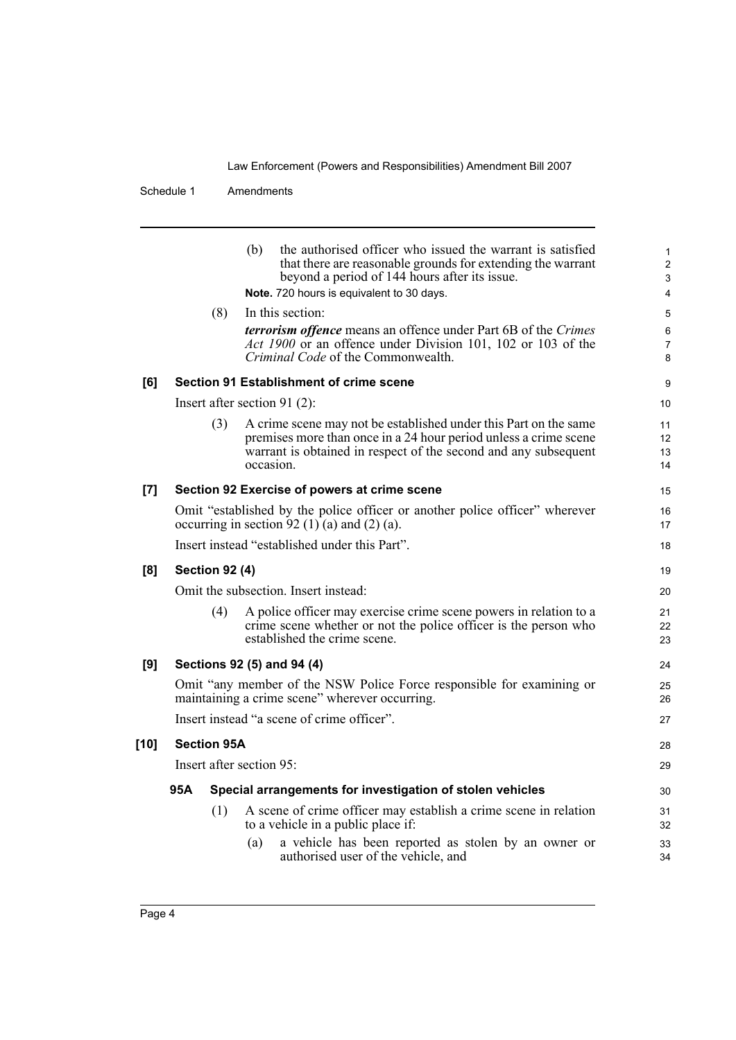#### Schedule 1 Amendments

|       |                       | the authorised officer who issued the warrant is satisfied<br>(b)<br>that there are reasonable grounds for extending the warrant<br>beyond a period of 144 hours after its issue.<br>Note. 720 hours is equivalent to 30 days. | 1<br>$\overline{c}$<br>3<br>4 |
|-------|-----------------------|--------------------------------------------------------------------------------------------------------------------------------------------------------------------------------------------------------------------------------|-------------------------------|
|       | (8)                   | In this section:<br><b>terrorism offence</b> means an offence under Part 6B of the Crimes<br>Act 1900 or an offence under Division 101, 102 or 103 of the<br>Criminal Code of the Commonwealth.                                | 5<br>6<br>7<br>8              |
| [6]   |                       | Section 91 Establishment of crime scene                                                                                                                                                                                        | 9                             |
|       |                       | Insert after section 91 $(2)$ :                                                                                                                                                                                                | 10                            |
|       | (3)                   | A crime scene may not be established under this Part on the same<br>premises more than once in a 24 hour period unless a crime scene<br>warrant is obtained in respect of the second and any subsequent<br>occasion.           | 11<br>12<br>13<br>14          |
| $[7]$ |                       | Section 92 Exercise of powers at crime scene                                                                                                                                                                                   | 15                            |
|       |                       | Omit "established by the police officer or another police officer" wherever<br>occurring in section $92$ (1) $\dot{a}$ ) and (2) (a).                                                                                          | 16<br>17                      |
|       |                       | Insert instead "established under this Part".                                                                                                                                                                                  | 18                            |
| [8]   | <b>Section 92 (4)</b> |                                                                                                                                                                                                                                | 19                            |
|       |                       | Omit the subsection. Insert instead:                                                                                                                                                                                           | 20                            |
|       | (4)                   | A police officer may exercise crime scene powers in relation to a<br>crime scene whether or not the police officer is the person who<br>established the crime scene.                                                           | 21<br>22<br>23                |
| [9]   |                       | Sections 92 (5) and 94 (4)                                                                                                                                                                                                     | 24                            |
|       |                       | Omit "any member of the NSW Police Force responsible for examining or<br>maintaining a crime scene" wherever occurring.                                                                                                        | 25<br>26                      |
|       |                       | Insert instead "a scene of crime officer".                                                                                                                                                                                     | 27                            |
| [10]  | <b>Section 95A</b>    |                                                                                                                                                                                                                                | 28                            |
|       |                       | Insert after section 95:                                                                                                                                                                                                       | 29                            |
|       | 95A                   | Special arrangements for investigation of stolen vehicles                                                                                                                                                                      | 30                            |
|       | (1)                   | A scene of crime officer may establish a crime scene in relation<br>to a vehicle in a public place if:                                                                                                                         | 31<br>32                      |
|       |                       | a vehicle has been reported as stolen by an owner or<br>(a)<br>authorised user of the vehicle, and                                                                                                                             | 33<br>34                      |
|       |                       |                                                                                                                                                                                                                                |                               |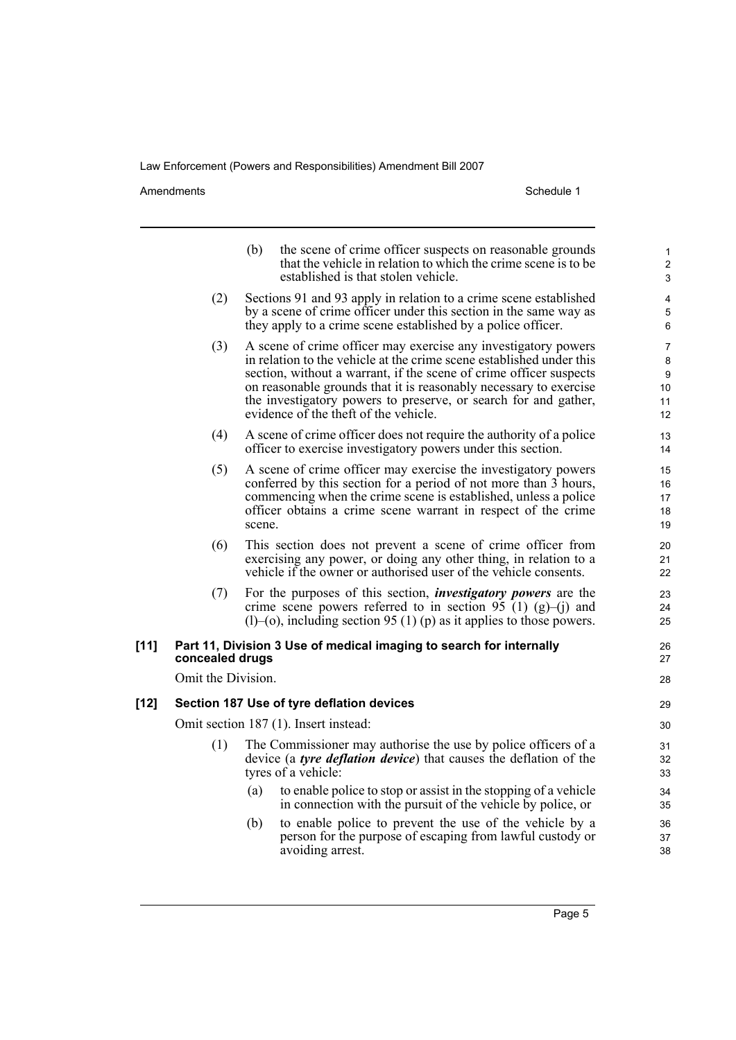Amendments Schedule 1

|      |                    | (b)<br>the scene of crime officer suspects on reasonable grounds<br>that the vehicle in relation to which the crime scene is to be<br>established is that stolen vehicle.                                                                                                                                                                                                                     | $\mathbf{1}$<br>$\overline{2}$<br>3 |
|------|--------------------|-----------------------------------------------------------------------------------------------------------------------------------------------------------------------------------------------------------------------------------------------------------------------------------------------------------------------------------------------------------------------------------------------|-------------------------------------|
|      | (2)                | Sections 91 and 93 apply in relation to a crime scene established<br>by a scene of crime officer under this section in the same way as<br>they apply to a crime scene established by a police officer.                                                                                                                                                                                        | 4<br>5<br>6                         |
|      | (3)                | A scene of crime officer may exercise any investigatory powers<br>in relation to the vehicle at the crime scene established under this<br>section, without a warrant, if the scene of crime officer suspects<br>on reasonable grounds that it is reasonably necessary to exercise<br>the investigatory powers to preserve, or search for and gather,<br>evidence of the theft of the vehicle. | 7<br>8<br>9<br>10<br>11<br>12       |
|      | (4)                | A scene of crime officer does not require the authority of a police<br>officer to exercise investigatory powers under this section.                                                                                                                                                                                                                                                           | 13<br>14                            |
|      | (5)                | A scene of crime officer may exercise the investigatory powers<br>conferred by this section for a period of not more than 3 hours,<br>commencing when the crime scene is established, unless a police<br>officer obtains a crime scene warrant in respect of the crime<br>scene.                                                                                                              | 15<br>16<br>17<br>18<br>19          |
|      | (6)                | This section does not prevent a scene of crime officer from<br>exercising any power, or doing any other thing, in relation to a<br>vehicle if the owner or authorised user of the vehicle consents.                                                                                                                                                                                           | 20<br>21<br>22                      |
|      | (7)                | For the purposes of this section, <i>investigatory powers</i> are the<br>crime scene powers referred to in section 95 (1) (g)–(j) and<br>$(1)$ –(o), including section 95 (1) (p) as it applies to those powers.                                                                                                                                                                              | 23<br>24<br>25                      |
| [11] | concealed drugs    | Part 11, Division 3 Use of medical imaging to search for internally                                                                                                                                                                                                                                                                                                                           | 26<br>27                            |
|      | Omit the Division. |                                                                                                                                                                                                                                                                                                                                                                                               | 28                                  |
| [12] |                    | Section 187 Use of tyre deflation devices                                                                                                                                                                                                                                                                                                                                                     | 29                                  |
|      |                    | Omit section 187 (1). Insert instead:                                                                                                                                                                                                                                                                                                                                                         | 30                                  |
|      | (1)                | The Commissioner may authorise the use by police officers of a<br>device (a tyre deflation device) that causes the deflation of the<br>tyres of a vehicle:                                                                                                                                                                                                                                    | 31<br>32<br>33                      |
|      |                    | to enable police to stop or assist in the stopping of a vehicle<br>(a)<br>in connection with the pursuit of the vehicle by police, or                                                                                                                                                                                                                                                         | 34<br>35                            |
|      |                    | to enable police to prevent the use of the vehicle by a<br>(b)<br>person for the purpose of escaping from lawful custody or<br>avoiding arrest.                                                                                                                                                                                                                                               | 36<br>37<br>38                      |